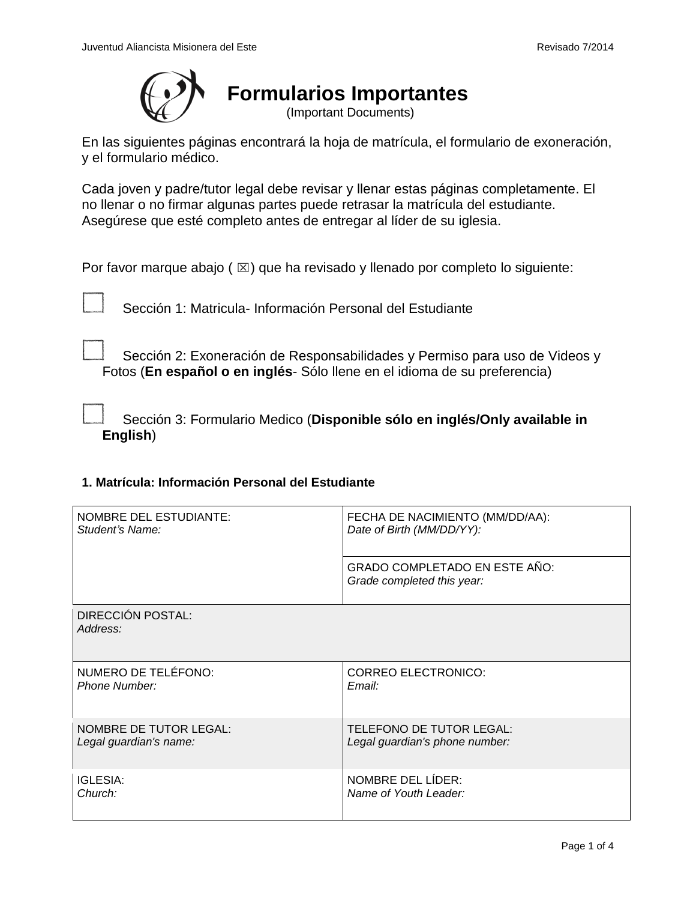

En las siguientes páginas encontrará la hoja de matrícula, el formulario de exoneración, y el formulario médico.

Cada joven y padre/tutor legal debe revisar y llenar estas páginas completamente. El no llenar o no firmar algunas partes puede retrasar la matrícula del estudiante. Asegúrese que esté completo antes de entregar al líder de su iglesia.

Por favor marque abajo ( $\boxtimes$ ) que ha revisado y llenado por completo lo siguiente:

Sección 1: Matricula- Información Personal del Estudiante

Sección 2: Exoneración de Responsabilidades y Permiso para uso de Videos y Fotos (**En español o en inglés**- Sólo llene en el idioma de su preferencia)

Sección 3: Formulario Medico (**Disponible sólo en inglés/Only available in English**)

# **1. Matrícula: Información Personal del Estudiante**

| <b>NOMBRE DEL ESTUDIANTE:</b> | FECHA DE NACIMIENTO (MM/DD/AA):                                    |  |
|-------------------------------|--------------------------------------------------------------------|--|
| Student's Name:               | Date of Birth (MM/DD/YY):                                          |  |
|                               | <b>GRADO COMPLETADO EN ESTE AÑO:</b><br>Grade completed this year: |  |
| DIRECCIÓN POSTAL:<br>Address: |                                                                    |  |
| NUMERO DE TELÉFONO:           | <b>CORREO ELECTRONICO:</b>                                         |  |
| Phone Number:                 | Email:                                                             |  |
| <b>NOMBRE DE TUTOR LEGAL:</b> | <b>TELEFONO DE TUTOR LEGAL:</b>                                    |  |
| Legal guardian's name:        | Legal guardian's phone number:                                     |  |
| <b>IGLESIA:</b>               | NOMBRE DEL LIDER:                                                  |  |
| Church:                       | Name of Youth Leader:                                              |  |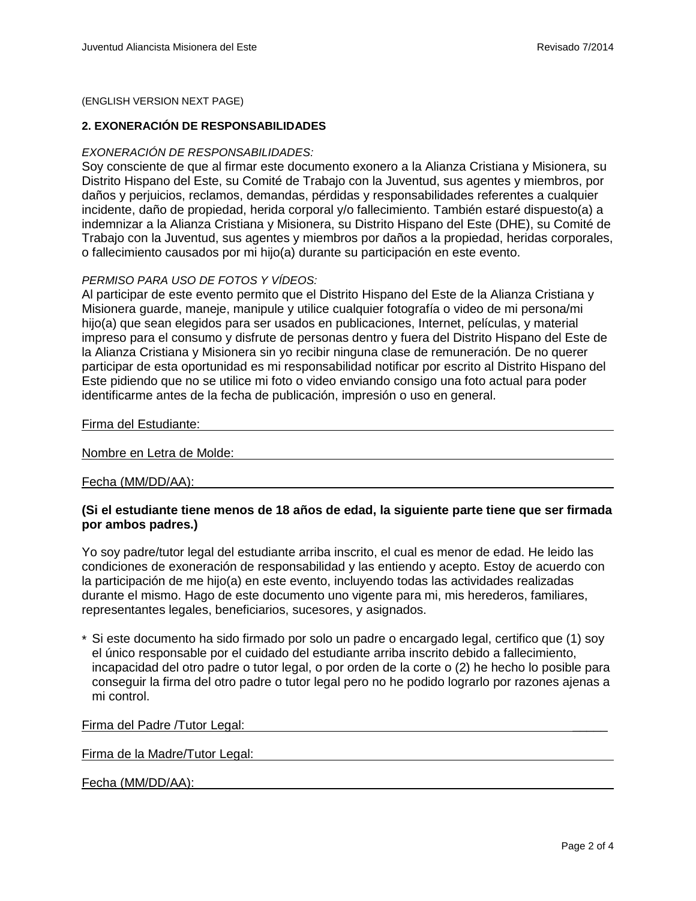(ENGLISH VERSION NEXT PAGE)

#### **2. EXONERACIÓN DE RESPONSABILIDADES**

### *EXONERACIÓN DE RESPONSABILIDADES:*

Soy consciente de que al firmar este documento exonero a la Alianza Cristiana y Misionera, su Distrito Hispano del Este, su Comité de Trabajo con la Juventud, sus agentes y miembros, por daños y perjuicios, reclamos, demandas, pérdidas y responsabilidades referentes a cualquier incidente, daño de propiedad, herida corporal y/o fallecimiento. También estaré dispuesto(a) a indemnizar a la Alianza Cristiana y Misionera, su Distrito Hispano del Este (DHE), su Comité de Trabajo con la Juventud, sus agentes y miembros por daños a la propiedad, heridas corporales, o fallecimiento causados por mi hijo(a) durante su participación en este evento.

### *PERMISO PARA USO DE FOTOS Y VÍDEOS:*

Al participar de este evento permito que el Distrito Hispano del Este de la Alianza Cristiana y Misionera guarde, maneje, manipule y utilice cualquier fotografía o video de mi persona/mi hijo(a) que sean elegidos para ser usados en publicaciones, Internet, películas, y material impreso para el consumo y disfrute de personas dentro y fuera del Distrito Hispano del Este de la Alianza Cristiana y Misionera sin yo recibir ninguna clase de remuneración. De no querer participar de esta oportunidad es mi responsabilidad notificar por escrito al Distrito Hispano del Este pidiendo que no se utilice mi foto o video enviando consigo una foto actual para poder identificarme antes de la fecha de publicación, impresión o uso en general.

Firma del Estudiante:

#### Nombre en Letra de Molde:

#### Fecha (MM/DD/AA):

# **(Si el estudiante tiene menos de 18 años de edad, la siguiente parte tiene que ser firmada por ambos padres.)**

Yo soy padre/tutor legal del estudiante arriba inscrito, el cual es menor de edad. He leido las condiciones de exoneración de responsabilidad y las entiendo y acepto. Estoy de acuerdo con la participación de me hijo(a) en este evento, incluyendo todas las actividades realizadas durante el mismo. Hago de este documento uno vigente para mi, mis herederos, familiares, representantes legales, beneficiarios, sucesores, y asignados.

\* Si este documento ha sido firmado por solo un padre o encargado legal, certifico que (1) soy el único responsable por el cuidado del estudiante arriba inscrito debido a fallecimiento, incapacidad del otro padre o tutor legal, o por orden de la corte o (2) he hecho lo posible para conseguir la firma del otro padre o tutor legal pero no he podido lograrlo por razones ajenas a mi control.

#### Firma del Padre /Tutor Legal:

#### Firma de la Madre/Tutor Legal:

#### Fecha (MM/DD/AA):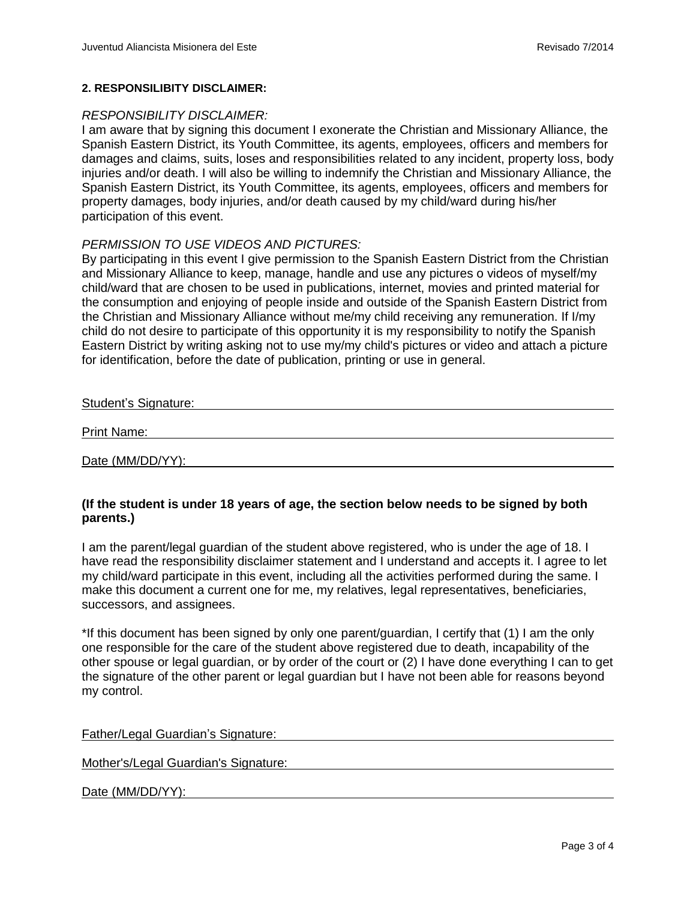### **2. RESPONSILIBITY DISCLAIMER:**

### *RESPONSIBILITY DISCLAIMER:*

I am aware that by signing this document I exonerate the Christian and Missionary Alliance, the Spanish Eastern District, its Youth Committee, its agents, employees, officers and members for damages and claims, suits, loses and responsibilities related to any incident, property loss, body injuries and/or death. I will also be willing to indemnify the Christian and Missionary Alliance, the Spanish Eastern District, its Youth Committee, its agents, employees, officers and members for property damages, body injuries, and/or death caused by my child/ward during his/her participation of this event.

# *PERMISSION TO USE VIDEOS AND PICTURES:*

By participating in this event I give permission to the Spanish Eastern District from the Christian and Missionary Alliance to keep, manage, handle and use any pictures o videos of myself/my child/ward that are chosen to be used in publications, internet, movies and printed material for the consumption and enjoying of people inside and outside of the Spanish Eastern District from the Christian and Missionary Alliance without me/my child receiving any remuneration. If I/my child do not desire to participate of this opportunity it is my responsibility to notify the Spanish Eastern District by writing asking not to use my/my child's pictures or video and attach a picture for identification, before the date of publication, printing or use in general.

| <b>Student's Signature:</b> |  |
|-----------------------------|--|
| <b>Print Name:</b>          |  |
| Date (MM/DD/YY):            |  |

# **(If the student is under 18 years of age, the section below needs to be signed by both parents.)**

I am the parent/legal guardian of the student above registered, who is under the age of 18. I have read the responsibility disclaimer statement and I understand and accepts it. I agree to let my child/ward participate in this event, including all the activities performed during the same. I make this document a current one for me, my relatives, legal representatives, beneficiaries, successors, and assignees.

\*If this document has been signed by only one parent/guardian, I certify that (1) I am the only one responsible for the care of the student above registered due to death, incapability of the other spouse or legal guardian, or by order of the court or (2) I have done everything I can to get the signature of the other parent or legal guardian but I have not been able for reasons beyond my control.

| Father/Legal Guardian's Signature: |  |  |
|------------------------------------|--|--|
|                                    |  |  |

Mother's/Legal Guardian's Signature:

Date (MM/DD/YY):